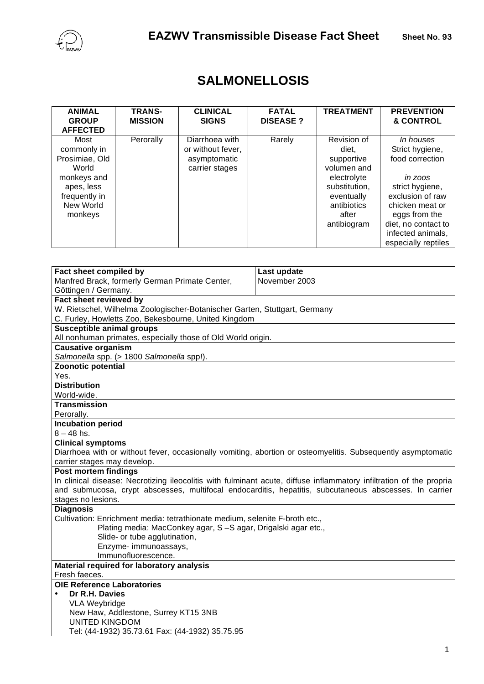

| <b>ANIMAL</b><br><b>GROUP</b><br><b>AFFECTED</b>                                                                     | <b>TRANS-</b><br><b>MISSION</b> | <b>CLINICAL</b><br><b>SIGNS</b>                                       | <b>FATAL</b><br><b>DISEASE?</b> | <b>TREATMENT</b>                                                                                                                       | <b>PREVENTION</b><br><b>&amp; CONTROL</b>                                                                                                                                                                       |
|----------------------------------------------------------------------------------------------------------------------|---------------------------------|-----------------------------------------------------------------------|---------------------------------|----------------------------------------------------------------------------------------------------------------------------------------|-----------------------------------------------------------------------------------------------------------------------------------------------------------------------------------------------------------------|
| Most<br>commonly in<br>Prosimiae, Old<br>World<br>monkeys and<br>apes, less<br>frequently in<br>New World<br>monkeys | Perorally                       | Diarrhoea with<br>or without fever,<br>asymptomatic<br>carrier stages | Rarely                          | Revision of<br>diet.<br>supportive<br>volumen and<br>electrolyte<br>substitution,<br>eventually<br>antibiotics<br>after<br>antibiogram | <i>In houses</i><br>Strict hygiene,<br>food correction<br>in zoos<br>strict hygiene,<br>exclusion of raw<br>chicken meat or<br>eggs from the<br>diet, no contact to<br>infected animals,<br>especially reptiles |

## **SALMONELLOSIS**

| Fact sheet compiled by                                                                                              | Last update   |  |  |  |  |  |
|---------------------------------------------------------------------------------------------------------------------|---------------|--|--|--|--|--|
| Manfred Brack, formerly German Primate Center,                                                                      | November 2003 |  |  |  |  |  |
| Göttingen / Germany.                                                                                                |               |  |  |  |  |  |
| Fact sheet reviewed by                                                                                              |               |  |  |  |  |  |
| W. Rietschel, Wilhelma Zoologischer-Botanischer Garten, Stuttgart, Germany                                          |               |  |  |  |  |  |
| C. Furley, Howletts Zoo, Bekesbourne, United Kingdom                                                                |               |  |  |  |  |  |
| <b>Susceptible animal groups</b>                                                                                    |               |  |  |  |  |  |
| All nonhuman primates, especially those of Old World origin.                                                        |               |  |  |  |  |  |
| <b>Causative organism</b>                                                                                           |               |  |  |  |  |  |
| Salmonella spp. (> 1800 Salmonella spp!).                                                                           |               |  |  |  |  |  |
| Zoonotic potential                                                                                                  |               |  |  |  |  |  |
| Yes.                                                                                                                |               |  |  |  |  |  |
| <b>Distribution</b>                                                                                                 |               |  |  |  |  |  |
| World-wide.                                                                                                         |               |  |  |  |  |  |
| <b>Transmission</b>                                                                                                 |               |  |  |  |  |  |
| Perorally.                                                                                                          |               |  |  |  |  |  |
| <b>Incubation period</b>                                                                                            |               |  |  |  |  |  |
| $8 - 48$ hs.                                                                                                        |               |  |  |  |  |  |
| <b>Clinical symptoms</b>                                                                                            |               |  |  |  |  |  |
| Diarrhoea with or without fever, occasionally vomiting, abortion or osteomyelitis. Subsequently asymptomatic        |               |  |  |  |  |  |
| carrier stages may develop.                                                                                         |               |  |  |  |  |  |
| Post mortem findings                                                                                                |               |  |  |  |  |  |
| In clinical disease: Necrotizing ileocolitis with fulminant acute, diffuse inflammatory infiltration of the propria |               |  |  |  |  |  |
| and submucosa, crypt abscesses, multifocal endocarditis, hepatitis, subcutaneous abscesses. In carrier              |               |  |  |  |  |  |
| stages no lesions.                                                                                                  |               |  |  |  |  |  |
| <b>Diagnosis</b>                                                                                                    |               |  |  |  |  |  |
| Cultivation: Enrichment media: tetrathionate medium, selenite F-broth etc.,                                         |               |  |  |  |  |  |
| Plating media: MacConkey agar, S-S agar, Drigalski agar etc.,                                                       |               |  |  |  |  |  |
| Slide- or tube agglutination,                                                                                       |               |  |  |  |  |  |
| Enzyme- immunoassays,<br>Immunofluorescence.                                                                        |               |  |  |  |  |  |
|                                                                                                                     |               |  |  |  |  |  |
| Material required for laboratory analysis<br>Fresh faeces.                                                          |               |  |  |  |  |  |
| <b>OIE Reference Laboratories</b>                                                                                   |               |  |  |  |  |  |
| Dr R.H. Davies                                                                                                      |               |  |  |  |  |  |
| <b>VLA Weybridge</b>                                                                                                |               |  |  |  |  |  |
| New Haw, Addlestone, Surrey KT15 3NB                                                                                |               |  |  |  |  |  |
| <b>UNITED KINGDOM</b>                                                                                               |               |  |  |  |  |  |
| Tel: (44-1932) 35.73.61 Fax: (44-1932) 35.75.95                                                                     |               |  |  |  |  |  |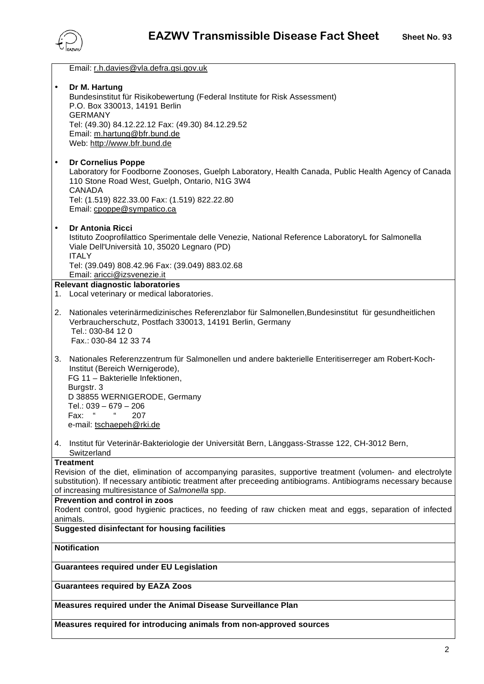

| Email: r.h.davies@vla.defra.gsi.gov.uk                                                                                                                                                                                                                                                                                 |  |  |  |  |
|------------------------------------------------------------------------------------------------------------------------------------------------------------------------------------------------------------------------------------------------------------------------------------------------------------------------|--|--|--|--|
| Dr M. Hartung<br>$\bullet$<br>Bundesinstitut für Risikobewertung (Federal Institute for Risk Assessment)<br>P.O. Box 330013, 14191 Berlin<br><b>GERMANY</b><br>Tel: (49.30) 84.12.22.12 Fax: (49.30) 84.12.29.52<br>Email: m.hartung@bfr.bund.de<br>Web: http://www.bfr.bund.de                                        |  |  |  |  |
| <b>Dr Cornelius Poppe</b><br>$\bullet$<br>Laboratory for Foodborne Zoonoses, Guelph Laboratory, Health Canada, Public Health Agency of Canada<br>110 Stone Road West, Guelph, Ontario, N1G 3W4<br><b>CANADA</b><br>Tel: (1.519) 822.33.00 Fax: (1.519) 822.22.80<br>Email: cpoppe@sympatico.ca                         |  |  |  |  |
| $\bullet$<br><b>Dr Antonia Ricci</b><br>Istituto Zooprofilattico Sperimentale delle Venezie, National Reference LaboratoryL for Salmonella<br>Viale Dell'Università 10, 35020 Legnaro (PD)<br><b>ITALY</b><br>Tel: (39.049) 808.42.96 Fax: (39.049) 883.02.68                                                          |  |  |  |  |
| Email: aricci@izsvenezie.it                                                                                                                                                                                                                                                                                            |  |  |  |  |
| Relevant diagnostic laboratories<br>1. Local veterinary or medical laboratories.                                                                                                                                                                                                                                       |  |  |  |  |
|                                                                                                                                                                                                                                                                                                                        |  |  |  |  |
| Nationales veterinärmedizinisches Referenzlabor für Salmonellen, Bundesinstitut für gesundheitlichen<br>2.<br>Verbraucherschutz, Postfach 330013, 14191 Berlin, Germany<br>Tel.: 030-84 12 0<br>Fax.: 030-84 12 33 74                                                                                                  |  |  |  |  |
| Nationales Referenzzentrum für Salmonellen und andere bakterielle Enteritiserreger am Robert-Koch-<br>3.<br>Institut (Bereich Wernigerode),<br>FG 11 - Bakterielle Infektionen,<br>Burgstr. 3<br>D 38855 WERNIGERODE, Germany<br>Tel.: $039 - 679 - 206$<br>$\epsilon$<br>"<br>Fax:<br>207<br>e-mail: tschaepeh@rki.de |  |  |  |  |
|                                                                                                                                                                                                                                                                                                                        |  |  |  |  |
| 4. Institut für Veterinär-Bakteriologie der Universität Bern, Länggass-Strasse 122, CH-3012 Bern,<br>Switzerland                                                                                                                                                                                                       |  |  |  |  |
| <b>Treatment</b>                                                                                                                                                                                                                                                                                                       |  |  |  |  |
| Revision of the diet, elimination of accompanying parasites, supportive treatment (volumen- and electrolyte<br>substitution). If necessary antibiotic treatment after preceeding antibiograms. Antibiograms necessary because<br>of increasing multiresistance of Salmonella spp.                                      |  |  |  |  |
| Prevention and control in zoos                                                                                                                                                                                                                                                                                         |  |  |  |  |
| Rodent control, good hygienic practices, no feeding of raw chicken meat and eggs, separation of infected                                                                                                                                                                                                               |  |  |  |  |
| animals.<br><b>Suggested disinfectant for housing facilities</b>                                                                                                                                                                                                                                                       |  |  |  |  |
|                                                                                                                                                                                                                                                                                                                        |  |  |  |  |
| <b>Notification</b>                                                                                                                                                                                                                                                                                                    |  |  |  |  |
| <b>Guarantees required under EU Legislation</b>                                                                                                                                                                                                                                                                        |  |  |  |  |
| <b>Guarantees required by EAZA Zoos</b>                                                                                                                                                                                                                                                                                |  |  |  |  |
|                                                                                                                                                                                                                                                                                                                        |  |  |  |  |
| Measures required under the Animal Disease Surveillance Plan                                                                                                                                                                                                                                                           |  |  |  |  |
| Measures required for introducing animals from non-approved sources                                                                                                                                                                                                                                                    |  |  |  |  |